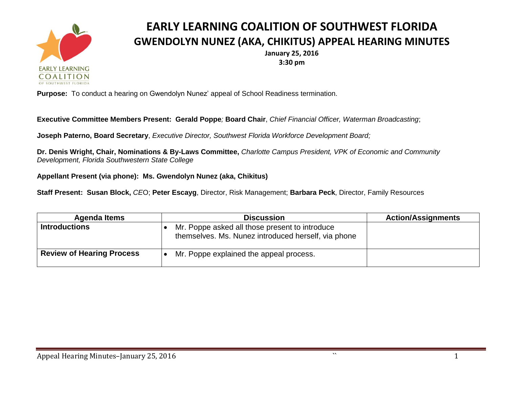

## **EARLY LEARNING COALITION OF SOUTHWEST FLORIDA GWENDOLYN NUNEZ (AKA, CHIKITUS) APPEAL HEARING MINUTES**

**January 25, 2016 3:30 pm**

**Purpose:** To conduct a hearing on Gwendolyn Nunez' appeal of School Readiness termination.

**Executive Committee Members Present: Gerald Poppe***;* **Board Chair**, *Chief Financial Officer, Waterman Broadcasting*;

**Joseph Paterno, Board Secretary**, *Executive Director, Southwest Florida Workforce Development Board;*

**Dr. Denis Wright, Chair, Nominations & By-Laws Committee,** *Charlotte Campus President, VPK of Economic and Community Development, Florida Southwestern State College*

**Appellant Present (via phone): Ms. Gwendolyn Nunez (aka, Chikitus)**

**Staff Present: Susan Block,** *CE*O; **Peter Escayg**, Director, Risk Management; **Barbara Peck**, Director, Family Resources

| <b>Agenda Items</b>              | <b>Discussion</b>                                                                                     | <b>Action/Assignments</b> |
|----------------------------------|-------------------------------------------------------------------------------------------------------|---------------------------|
| <b>Introductions</b>             | Mr. Poppe asked all those present to introduce<br>themselves. Ms. Nunez introduced herself, via phone |                           |
| <b>Review of Hearing Process</b> | Mr. Poppe explained the appeal process.                                                               |                           |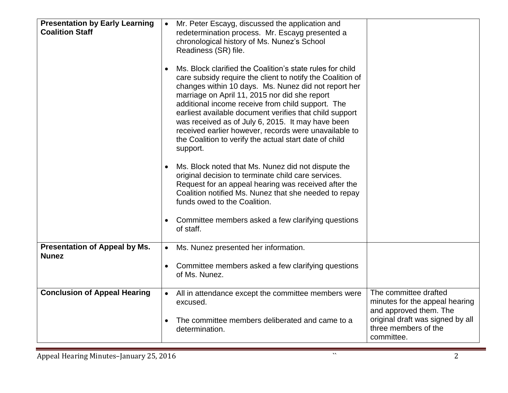| <b>Presentation by Early Learning</b><br><b>Coalition Staff</b> | Mr. Peter Escayg, discussed the application and<br>$\bullet$<br>redetermination process. Mr. Escayg presented a<br>chronological history of Ms. Nunez's School<br>Readiness (SR) file.<br>Ms. Block clarified the Coalition's state rules for child<br>care subsidy require the client to notify the Coalition of<br>changes within 10 days. Ms. Nunez did not report her<br>marriage on April 11, 2015 nor did she report<br>additional income receive from child support. The<br>earliest available document verifies that child support<br>was received as of July 6, 2015. It may have been<br>received earlier however, records were unavailable to<br>the Coalition to verify the actual start date of child<br>support.<br>Ms. Block noted that Ms. Nunez did not dispute the<br>original decision to terminate child care services.<br>Request for an appeal hearing was received after the<br>Coalition notified Ms. Nunez that she needed to repay<br>funds owed to the Coalition.<br>Committee members asked a few clarifying questions<br>$\bullet$<br>of staff. |                                                                                                                                                             |
|-----------------------------------------------------------------|------------------------------------------------------------------------------------------------------------------------------------------------------------------------------------------------------------------------------------------------------------------------------------------------------------------------------------------------------------------------------------------------------------------------------------------------------------------------------------------------------------------------------------------------------------------------------------------------------------------------------------------------------------------------------------------------------------------------------------------------------------------------------------------------------------------------------------------------------------------------------------------------------------------------------------------------------------------------------------------------------------------------------------------------------------------------------|-------------------------------------------------------------------------------------------------------------------------------------------------------------|
| <b>Presentation of Appeal by Ms.</b><br><b>Nunez</b>            | Ms. Nunez presented her information.<br>$\bullet$<br>Committee members asked a few clarifying questions<br>of Ms. Nunez.                                                                                                                                                                                                                                                                                                                                                                                                                                                                                                                                                                                                                                                                                                                                                                                                                                                                                                                                                     |                                                                                                                                                             |
| <b>Conclusion of Appeal Hearing</b>                             | All in attendance except the committee members were<br>$\bullet$<br>excused.<br>The committee members deliberated and came to a<br>determination.                                                                                                                                                                                                                                                                                                                                                                                                                                                                                                                                                                                                                                                                                                                                                                                                                                                                                                                            | The committee drafted<br>minutes for the appeal hearing<br>and approved them. The<br>original draft was signed by all<br>three members of the<br>committee. |